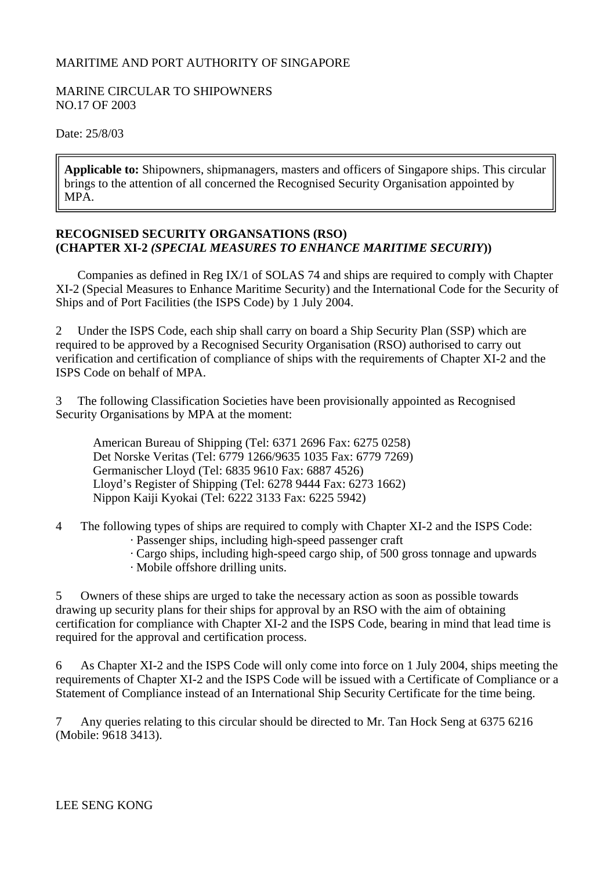## MARITIME AND PORT AUTHORITY OF SINGAPORE

## MARINE CIRCULAR TO SHIPOWNERS NO.17 OF 2003

Date: 25/8/03

**Applicable to:** Shipowners, shipmanagers, masters and officers of Singapore ships. This circular brings to the attention of all concerned the Recognised Security Organisation appointed by MPA.

## **RECOGNISED SECURITY ORGANSATIONS (RSO) (CHAPTER XI-2** *(SPECIAL MEASURES TO ENHANCE MARITIME SECURIY***))**

 Companies as defined in Reg IX/1 of SOLAS 74 and ships are required to comply with Chapter XI-2 (Special Measures to Enhance Maritime Security) and the International Code for the Security of Ships and of Port Facilities (the ISPS Code) by 1 July 2004.

2 Under the ISPS Code, each ship shall carry on board a Ship Security Plan (SSP) which are required to be approved by a Recognised Security Organisation (RSO) authorised to carry out verification and certification of compliance of ships with the requirements of Chapter XI-2 and the ISPS Code on behalf of MPA.

3 The following Classification Societies have been provisionally appointed as Recognised Security Organisations by MPA at the moment:

 American Bureau of Shipping (Tel: 6371 2696 Fax: 6275 0258) Det Norske Veritas (Tel: 6779 1266/9635 1035 Fax: 6779 7269) Germanischer Lloyd (Tel: 6835 9610 Fax: 6887 4526) Lloyd's Register of Shipping (Tel: 6278 9444 Fax: 6273 1662) Nippon Kaiji Kyokai (Tel: 6222 3133 Fax: 6225 5942)

4 The following types of ships are required to comply with Chapter XI-2 and the ISPS Code:

- · Passenger ships, including high-speed passenger craft
- · Cargo ships, including high-speed cargo ship, of 500 gross tonnage and upwards
- · Mobile offshore drilling units.

5 Owners of these ships are urged to take the necessary action as soon as possible towards drawing up security plans for their ships for approval by an RSO with the aim of obtaining certification for compliance with Chapter XI-2 and the ISPS Code, bearing in mind that lead time is required for the approval and certification process.

6 As Chapter XI-2 and the ISPS Code will only come into force on 1 July 2004, ships meeting the requirements of Chapter XI-2 and the ISPS Code will be issued with a Certificate of Compliance or a Statement of Compliance instead of an International Ship Security Certificate for the time being.

7 Any queries relating to this circular should be directed to Mr. Tan Hock Seng at 6375 6216 (Mobile: 9618 3413).